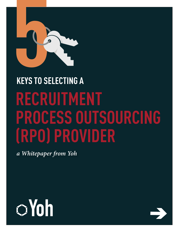

## **RECRUITMENT PROCESS OUTSOURCING (RPO) PROVIDER KEYS TO SELECTING A**

*a Whitepaper from Yoh*



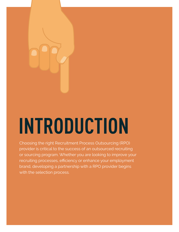# **INTRODUCTION**

Choosing the right Recruitment Process Outsourcing (RPO) provider is critical to the success of an outsourced recruiting or sourcing program. Whether you are looking to improve your recruiting processes, efficiency or enhance your employment brand, developing a partnership with a RPO provider begins with the selection process.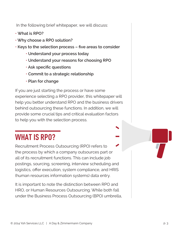In the following brief whitepaper, we will discuss:

- **What is RPO?**
- • **Why choose a RPO solution?**
- • **Keys to the selection process five areas to consider**
	- • **Understand your process today**
	- • **Understand your reasons for choosing RPO**
	- • **Ask specific questions**
	- **Commit to a strategic relationship**
	- • **Plan for change**

If you are just starting the process or have some experience selecting a RPO provider, this whitepaper will help you better understand RPO and the business drivers behind outsourcing these functions. In addition, we will provide some crucial tips and critical evaluation factors to help you with the selection process.

### **WHAT IS RPO?**

Recruitment Process Outsourcing (RPO) refers to the process by which a company outsources part or all of its recruitment functions. This can include job postings, sourcing, screening, interview scheduling and logistics, offer execution, system compliance, and HRIS (human resources information systems) data entry.

It is important to note the distinction between RPO and HRO, or Human Resources Outsourcing. While both fall under the Business Process Outsourcing (BPO) umbrella,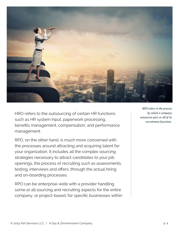

HRO refers to the outsourcing of certain HR functions such as HR system input, paperwork processing, benefits management, compensation, and performance management.

RPO, on the other hand, is much more concerned with the processes around attracting and acquiring talent for your organization. It includes all the complex sourcing strategies necessary to attract candidates to your job openings, the process of recruiting such as assessments, testing, interviews and offers, through the actual hiring and on-boarding processes.

RPO can be enterprise-wide with a provider handling some or all sourcing and recruiting aspects for the entire company, or project-based, for specific businesses within

*RPO refers to the process by which a company outsources part or all of its recruitment functions.*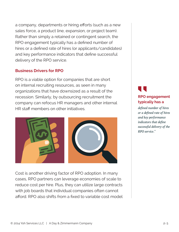a company, departments or hiring efforts (such as a new sales force, a product line, expansion, or project team). Rather than simply a retained or contingent search, the RPO engagement typically has a defined number of hires or a defined rate of hires (or applicants/candidates) and key performance indicators that define successful delivery of the RPO service.

#### **Business Drivers for RPO**

RPO is a viable option for companies that are short on internal recruiting resources, as seen in many organizations that have downsized as a result of the recession. Similarly, by outsourcing recruitment the company can refocus HR managers and other internal HR staff members on other initiatives.



Cost is another driving factor of RPO adoption. In many cases, RPO partners can leverage economies of scale to reduce cost per hire. Plus, they can utilize large contracts with job boards that individual companies often cannot afford. RPO also shifts from a fixed to variable cost model

### **RPO engagement typically has a "**

*defined number of hires or a defined rate of hires and key performance indicators that define successful delivery of the RPO service."*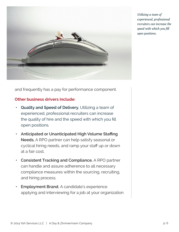

*Utilizing a team of experienced, professional recruiters can increase the speed with which you fill open positions.*

and frequently has a pay for performance component.

#### **Other business drivers include:**

- **• Quality and Speed of Delivery.** Utilizing a team of experienced, professional recruiters can increase the quality of hire and the speed with which you fill open positions.
- **• Anticipated or Unanticipated High Volume Staffing Needs.** A RPO partner can help satisfy seasonal or cyclical hiring needs, and ramp your staff up or down at a fair cost.
- **• Consistent Tracking and Compliance.** A RPO partner can handle and assure adherence to all necessary compliance measures within the sourcing, recruiting, and hiring process.
- **• Employment Brand.** A candidate's experience applying and interviewing for a job at your organization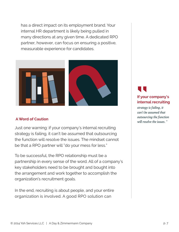has a direct impact on its employment brand. Your internal HR department is likely being pulled in many directions at any given time. A dedicated RPO partner, however, can focus on ensuring a positive, measurable experience for candidates.



#### **A Word of Caution**

Just one warning: if your company's internal recruiting strategy is failing, it can't be assumed that outsourcing the function will resolve the issues. The mindset cannot be that a RPO partner will "do your mess for less."

To be successful, the RPO relationship must be a partnership in every sense of the word. All of a company's key stakeholders need to be brought and bought into the arrangement and work together to accomplish the organization's recruitment goals.

In the end, recruiting is about people, and your entire organization is involved. A good RPO solution can

### **If your company's internal recruiting "**

*strategy is failing, it can't be assumed that outsourcing the function will resolve the issues. "*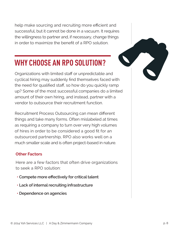help make sourcing and recruiting more efficient and successful, but it cannot be done in a vacuum. It requires the willingness to partner and, if necessary, change things in order to maximize the benefit of a RPO solution.

### **WHY CHOOSE AN RPO SOLUTION?**

Organizations with limited staff or unpredictable and cyclical hiring may suddenly find themselves faced with the need for qualified staff, so how do you quickly ramp up? Some of the most successful companies do a limited amount of their own hiring, and instead, partner with a vendor to outsource their recruitment function.

Recruitment Process Outsourcing can mean different things and take many forms. Often mislabeled at times as requiring a company to turn over very high volumes of hires in order to be considered a good fit for an outsourced partnership, RPO also works well on a much smaller scale and is often project-based in nature.

### **Other Factors**

Here are a few factors that often drive organizations to seek a RPO solution:

- **• Compete more effectively for critical talent**
- **• Lack of internal recruiting infrastructure**
- **• Dependence on agencies**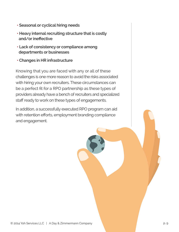- **• Seasonal or cyclical hiring needs**
- **• Heavy internal recruiting structure that is costly and/or ineffective**
- **• Lack of consistency or compliance among departments or businesses**
- **• Changes in HR infrastructure**

Knowing that you are faced with any or all of these challenges is one more reason to avoid the risks associated with hiring your own recruiters. These circumstances can be a perfect fit for a RPO partnership as these types of providers already have a bench of recruiters and specialized staff ready to work on these types of engagements.

In addition, a successfully executed RPO program can aid with retention efforts, employment branding compliance and engagement.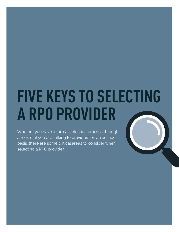## **FIVE KEYS TO SELECTING A RPO PROVIDER**

Whether you have a formal selection process through a RFP, or if you are talking to providers on an ad-hoc basis, there are some critical areas to consider when selecting a RPO provider.

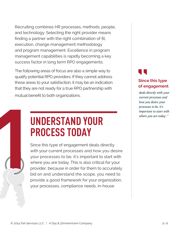Recruiting combines HR processes, methods, people, and technology. Selecting the right provider means finding a partner with the right combination of fit, execution, change management methodology and program management. Excellence in program management capabilities is rapidly becoming a key success factor in long term RPO engagements.

The following areas of focus are also a simple way to qualify potential RPO providers. If they cannot address these areas to your satisfaction, it may be an indication that they are not ready for a true RPO partnership with mutual benefit to both organizations.

### **UNDERSTAND YOUR PROCESS TODAY**

**1** Since this type of engagement deals directly with your current processes and how you desire your processes to be, it's important to start with where you are today. This is also critical for your provider, because in order for them to accurately bid on and understand the scope, you need to provide a good framework for your organization, your processes, compliance needs, in-house

### **Since this type of engagement "**

*deals directly with your current processes and how you desire your processes to be, it's important to start with where you are today. "*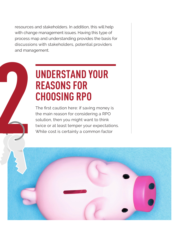resources and stakeholders. In addition, this will help with change management issues. Having this type of process map and understanding provides the basis for discussions with stakeholders, potential providers and management.

# **22 The first caution here: if saving money is<br>
the main reason for considering a RPO<br>
The first caution here: if saving money is<br>
the main reason for considering a RPO<br>
solution, then you might want to think<br>
twice or at UNDERSTAND YOUR REASONS FOR CHOOSING RPO**

the main reason for considering a RPO solution, then you might want to think twice or at least temper your expectations. While cost is certainly a common factor

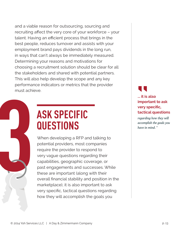and a viable reason for outsourcing, sourcing and recruiting affect the very core of your workforce – your talent. Having an efficient process that brings in the best people, reduces turnover and assists with your employment brand pays dividends in the long run, in ways that can't always be immediately measured. Determining your reasons and motivations for choosing a recruitment solution should be clear for all the stakeholders and shared with potential partners. This will also help develop the scope and any key performance indicators or metrics that the provider must achieve.

### **ASK SPECIFIC QUESTIONS**

**32 Western STECT ASSESS SPECIFIC**<br> **33 When developing a RFP and talking to**<br>
potential providers, most companies<br>
require the provider to respond to<br>
very vague questions regarding their<br>
capabilities, geographic coverag potential providers, most companies require the provider to respond to very vague questions regarding their capabilities, geographic coverage, or past engagements and successes. While these are important (along with their overall financial stability and position in the marketplace), it is also important to ask very specific, tactical questions regarding how they will accomplish the goals you

### **... it is also important to ask very specific, tactical questions "**

*regarding how they will accomplish the goals you have in mind. "*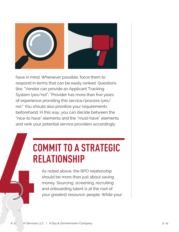

have in mind. Whenever possible, force them to respond in terms that can be easily ranked. Questions like: "Vendor can provide an Applicant Tracking System (yes/no)"; "Provider has more than five years of experience providing this service/process (yes/ no)." You should also prioritize your requirements beforehand. In this way, you can decide between the "nice-to have" elements and the "must-have" elements and rank your potential service providers accordingly. and rank your control of the control of the control of the control of the control of the control of the control of the control of the control of the control of the control of the control of the control of the control of th

### **COMMIT TO A STRATEGIC RELATIONSHIP**

As noted above, the RPO relationship should be more than just about saving money. Sourcing, screening, recruiting and onboarding talent is at the root of your greatest resource: people. While your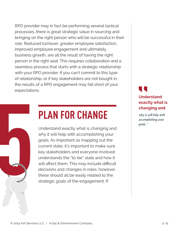RPO provider may in fact be performing several tactical processes, there is great strategic value in sourcing and bringing on the right person who will be successful in their role. Reduced turnover, greater employee satisfaction, improved employee engagement and ultimately, business growth, are all the result of having the right person in the right seat. This requires collaboration and a seamless process that starts with a strategic relationship with your RPO provider. If you can't commit to this type of relationship, or if key stakeholders are not bought in, the results of a RPO engagement may fall short of your expectations. **5** 



Understand exactly what is changing and why it will help with accomplishing your goals. As important as mapping out the current state, it's important to make sure key stakeholders and everyone involved understands the "to-be" state and how it will affect them. This may include difficult decisions and changes in roles; however, these should all be easily related to the strategic goals of the engagement. If

### **Understand exactly what is changing and "**

*why it will help with accomplishing your goals. "*

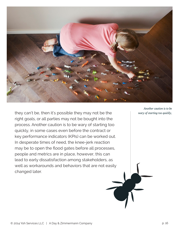

they can't be, then it's possible they may not be the right goals, or all parties may not be bought into the process. Another caution is to be wary of starting too quickly, in some cases even before the contract or key performance indicators (KPIs) can be worked out. In desperate times of need, the knee-jerk reaction may be to open the flood gates before all processes, people and metrics are in place, however, this can lead to early dissatisfaction among stakeholders, as well as workarounds and behaviors that are not easily changed later.

*Another caution is to be wary of starting too quickly,*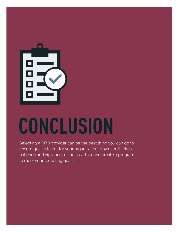

## **CONCLUSION**

Selecting a RPO provider can be the best thing you can do to ensure quality talent for your organization. However, it takes patience and vigilance to find a partner and create a program to meet your recruiting goals.